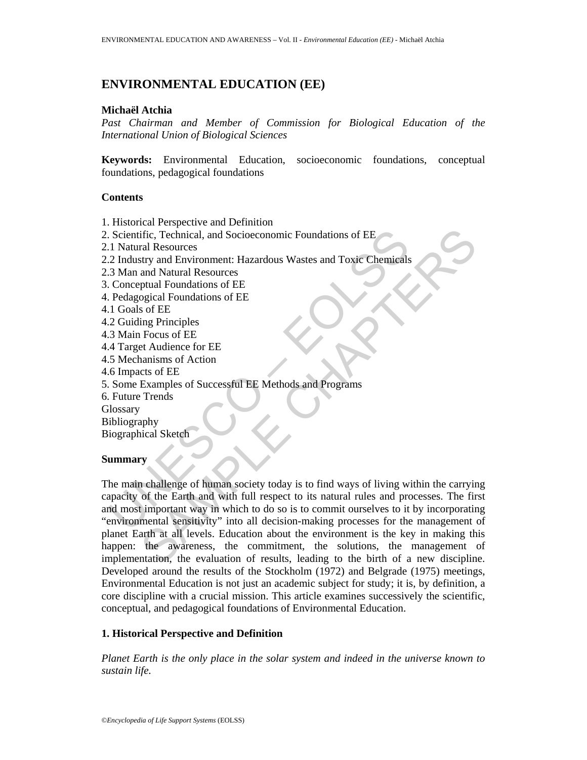# **ENVIRONMENTAL EDUCATION (EE)**

#### **Michaël Atchia**

*Past Chairman and Member of Commission for Biological Education of the International Union of Biological Sciences* 

**Keywords:** Environmental Education, socioeconomic foundations, conceptual foundations, pedagogical foundations

#### **Contents**

- 1. Historical Perspective and Definition
- 2. Scientific, Technical, and Socioeconomic Foundations of EE
- 2.1 Natural Resources
- 2.2 Industry and Environment: Hazardous Wastes and Toxic Chemicals
- 2.3 Man and Natural Resources
- 3. Conceptual Foundations of EE
- 4. Pedagogical Foundations of EE
- 4.1 Goals of EE
- 4.2 Guiding Principles
- 4.3 Main Focus of EE
- 4.4 Target Audience for EE
- 4.5 Mechanisms of Action
- 4.6 Impacts of EE
- 5. Some Examples of Successful EE Methods and Programs
- 6. Future Trends

**Glossary** 

- Bibliography
- Biographical Sketch

## **Summary**

Scientific, Technical, and Socioeconomic Foundations of EE<br>
1 Natural Resources<br>
2 Industry and Environment: Hazardous Wastes and Toxic Chemicals<br>
3 Man and Natural Resources<br>
Conceptual Foundations of EE<br>
Pedagogical Foun The Characterical, and Socioeconomic Foundations of EE<br>
Eral Resources<br>
Extry and Environment: Hazardous Wastes and Toxic Chemicals<br>
and Natural Resources<br>
prual Foundations of EE<br>
E Focous of EE<br>
sof EE<br>
Extragaled Tounda The main challenge of human society today is to find ways of living within the carrying capacity of the Earth and with full respect to its natural rules and processes. The first and most important way in which to do so is to commit ourselves to it by incorporating "environmental sensitivity" into all decision-making processes for the management of planet Earth at all levels. Education about the environment is the key in making this happen: the awareness, the commitment, the solutions, the management of implementation, the evaluation of results, leading to the birth of a new discipline. Developed around the results of the Stockholm (1972) and Belgrade (1975) meetings, Environmental Education is not just an academic subject for study; it is, by definition, a core discipline with a crucial mission. This article examines successively the scientific, conceptual, and pedagogical foundations of Environmental Education.

#### **1. Historical Perspective and Definition**

*Planet Earth is the only place in the solar system and indeed in the universe known to sustain life.*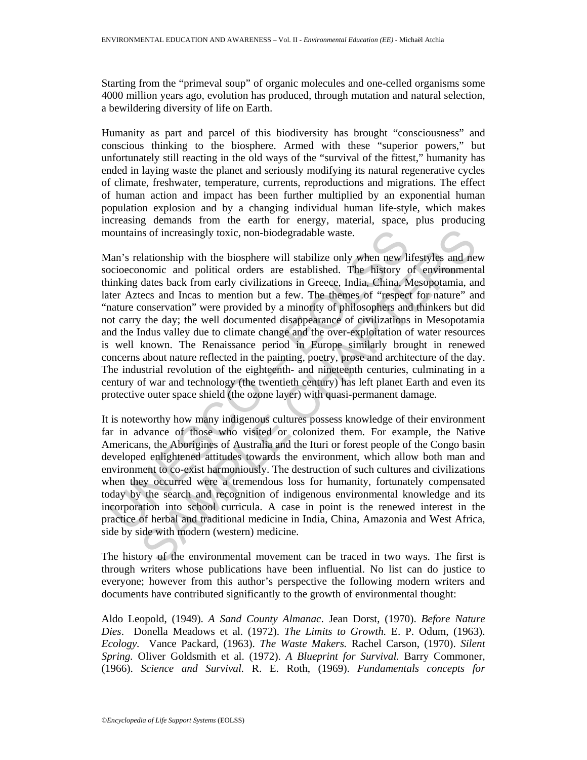Starting from the "primeval soup" of organic molecules and one-celled organisms some 4000 million years ago, evolution has produced, through mutation and natural selection, a bewildering diversity of life on Earth.

Humanity as part and parcel of this biodiversity has brought "consciousness" and conscious thinking to the biosphere. Armed with these "superior powers," but unfortunately still reacting in the old ways of the "survival of the fittest," humanity has ended in laying waste the planet and seriously modifying its natural regenerative cycles of climate, freshwater, temperature, currents, reproductions and migrations. The effect of human action and impact has been further multiplied by an exponential human population explosion and by a changing individual human life-style, which makes increasing demands from the earth for energy, material, space, plus producing mountains of increasingly toxic, non-biodegradable waste.

nountains of increasingly toxic, non-biodegradable waste.<br>
Aan's relationship with the biosphere will stabilize only when new li<br>
accioeconomic and political orders are established. The history c<br>
inking dates back from ea is of increasingly toxic, non-biodegradable waste.<br>
lationship with the biosphere will stabilize only when new lifestyles and ne<br>
nomic and political orders are established. The history of environment<br>
dates loack from ear Man's relationship with the biosphere will stabilize only when new lifestyles and new socioeconomic and political orders are established. The history of environmental thinking dates back from early civilizations in Greece, India, China, Mesopotamia, and later Aztecs and Incas to mention but a few. The themes of "respect for nature" and "nature conservation" were provided by a minority of philosophers and thinkers but did not carry the day; the well documented disappearance of civilizations in Mesopotamia and the Indus valley due to climate change and the over-exploitation of water resources is well known. The Renaissance period in Europe similarly brought in renewed concerns about nature reflected in the painting, poetry, prose and architecture of the day. The industrial revolution of the eighteenth- and nineteenth centuries, culminating in a century of war and technology (the twentieth century) has left planet Earth and even its protective outer space shield (the ozone layer) with quasi-permanent damage.

It is noteworthy how many indigenous cultures possess knowledge of their environment far in advance of those who visited or colonized them. For example, the Native Americans, the Aborigines of Australia and the Ituri or forest people of the Congo basin developed enlightened attitudes towards the environment, which allow both man and environment to co-exist harmoniously. The destruction of such cultures and civilizations when they occurred were a tremendous loss for humanity, fortunately compensated today by the search and recognition of indigenous environmental knowledge and its incorporation into school curricula. A case in point is the renewed interest in the practice of herbal and traditional medicine in India, China, Amazonia and West Africa, side by side with modern (western) medicine.

The history of the environmental movement can be traced in two ways. The first is through writers whose publications have been influential. No list can do justice to everyone; however from this author's perspective the following modern writers and documents have contributed significantly to the growth of environmental thought:

Aldo Leopold, (1949). *A Sand County Almanac*. Jean Dorst, (1970). *Before Nature Dies*. Donella Meadows et al. (1972). *The Limits to Growth.* E. P. Odum, (1963). *Ecology.* Vance Packard, (1963). *The Waste Makers.* Rachel Carson, (1970). *Silent Spring.* Oliver Goldsmith et al. (1972). *A Blueprint for Survival.* Barry Commoner, (1966). *Science and Survival.* R. E. Roth, (1969). *Fundamentals concepts for*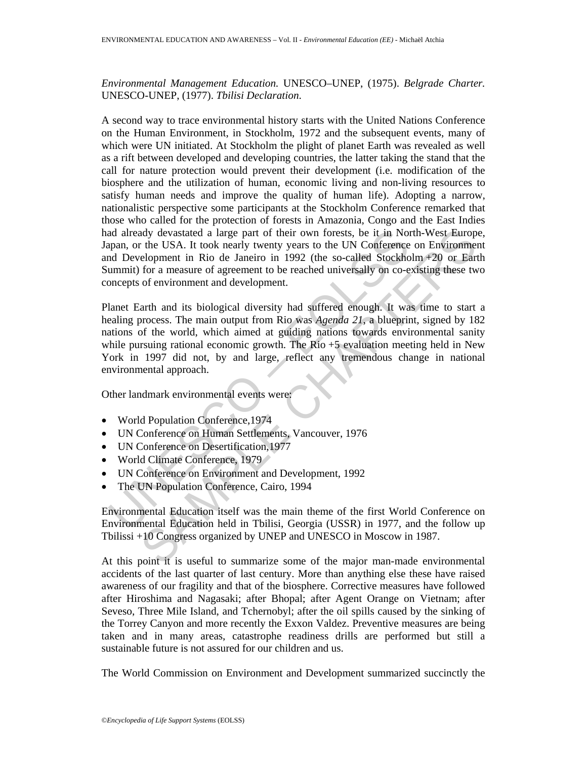*Environmental Management Education.* UNESCO–UNEP, (1975). *Belgrade Charter.*  UNESCO-UNEP, (1977). *Tbilisi Declaration*.

A second way to trace environmental history starts with the United Nations Conference on the Human Environment, in Stockholm, 1972 and the subsequent events, many of which were UN initiated. At Stockholm the plight of planet Earth was revealed as well as a rift between developed and developing countries, the latter taking the stand that the call for nature protection would prevent their development (i.e. modification of the biosphere and the utilization of human, economic living and non-living resources to satisfy human needs and improve the quality of human life). Adopting a narrow, nationalistic perspective some participants at the Stockholm Conference remarked that those who called for the protection of forests in Amazonia, Congo and the East Indies had already devastated a large part of their own forests, be it in North-West Europe, Japan, or the USA. It took nearly twenty years to the UN Conference on Environment and Development in Rio de Janeiro in 1992 (the so-called Stockholm +20 or Earth Summit) for a measure of agreement to be reached universally on co-existing these two concepts of environment and development.

ad already devastated a large part of their own forests, be it in Nor<br>
papan, or the USA. It took nearly twenty years to the UN Conference<br>
and Development in Rio de Janeiro in 1992 (the so-called Stockho<br>
ummit) for a mea dy devastated a large part of their own forests, be it in North-West Europe<br>
the USA. It took nearly twenty veras to the UN Conference on Environment<br>
elepment in Rio de Janeiro in 1992 (the so-called Stockholm+20 or Eart<br> Planet Earth and its biological diversity had suffered enough. It was time to start a healing process. The main output from Rio was *Agenda 21*, a blueprint, signed by 182 nations of the world, which aimed at guiding nations towards environmental sanity while pursuing rational economic growth. The Rio  $+5$  evaluation meeting held in New York in 1997 did not, by and large, reflect any tremendous change in national environmental approach.

Other landmark environmental events were:

- World Population Conference, 1974
- UN Conference on Human Settlements, Vancouver, 1976
- UN Conference on Desertification,1977
- World Climate Conference, 1979
- UN Conference on Environment and Development, 1992
- The UN Population Conference, Cairo, 1994

Environmental Education itself was the main theme of the first World Conference on Environmental Education held in Tbilisi, Georgia (USSR) in 1977, and the follow up Tbilissi +10 Congress organized by UNEP and UNESCO in Moscow in 1987.

At this point it is useful to summarize some of the major man-made environmental accidents of the last quarter of last century. More than anything else these have raised awareness of our fragility and that of the biosphere. Corrective measures have followed after Hiroshima and Nagasaki; after Bhopal; after Agent Orange on Vietnam; after Seveso, Three Mile Island, and Tchernobyl; after the oil spills caused by the sinking of the Torrey Canyon and more recently the Exxon Valdez. Preventive measures are being taken and in many areas, catastrophe readiness drills are performed but still a sustainable future is not assured for our children and us.

The World Commission on Environment and Development summarized succinctly the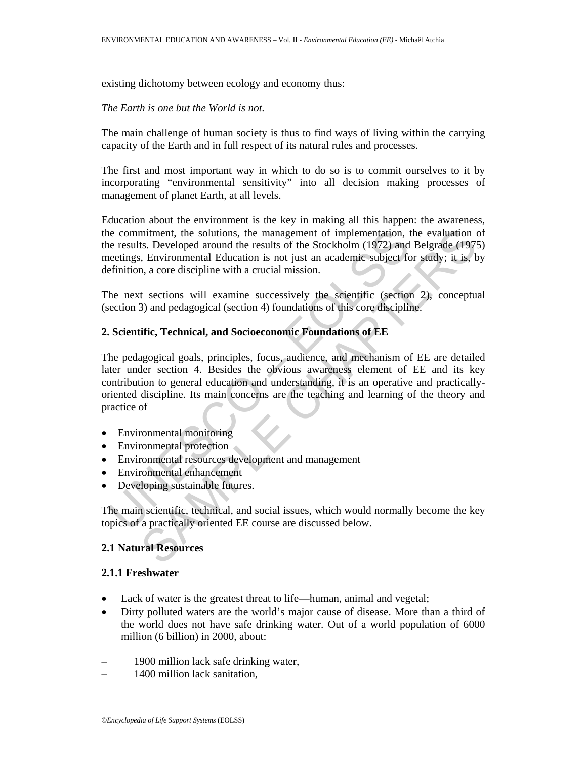existing dichotomy between ecology and economy thus:

#### *The Earth is one but the World is not.*

The main challenge of human society is thus to find ways of living within the carrying capacity of the Earth and in full respect of its natural rules and processes.

The first and most important way in which to do so is to commit ourselves to it by incorporating "environmental sensitivity" into all decision making processes of management of planet Earth, at all levels.

Education about the environment is the key in making all this happen: the awareness, the commitment, the solutions, the management of implementation, the evaluation of the results. Developed around the results of the Stockholm (1972) and Belgrade (1975) meetings, Environmental Education is not just an academic subject for study; it is, by definition, a core discipline with a crucial mission.

The next sections will examine successively the scientific (section 2), conceptual (section 3) and pedagogical (section 4) foundations of this core discipline.

## **2. Scientific, Technical, and Socioeconomic Foundations of EE**

is en commitment, the solutions, the management of implementation, the results. Developed around the results of the Stockholm (1972) and enertings, Environmental Education is not just an academic subject fermition, a core mitment, the solutions, the management of implementation, the evaluation controls. Developed around the results of the Stockholm (1972) and Belgrade (1973, Developed around the results of the Stockholm (1972) and Belgrade The pedagogical goals, principles, focus, audience, and mechanism of EE are detailed later under section 4. Besides the obvious awareness element of EE and its key contribution to general education and understanding, it is an operative and practicallyoriented discipline. Its main concerns are the teaching and learning of the theory and practice of

- Environmental monitoring
- Environmental protection
- Environmental resources development and management
- Environmental enhancement
- Developing sustainable futures.

The main scientific, technical, and social issues, which would normally become the key topics of a practically oriented EE course are discussed below.

# **2.1 Natural Resources**

#### **2.1.1 Freshwater**

- Lack of water is the greatest threat to life—human, animal and vegetal;
- Dirty polluted waters are the world's major cause of disease. More than a third of the world does not have safe drinking water. Out of a world population of 6000 million (6 billion) in 2000, about:
- 1900 million lack safe drinking water,
- 1400 million lack sanitation,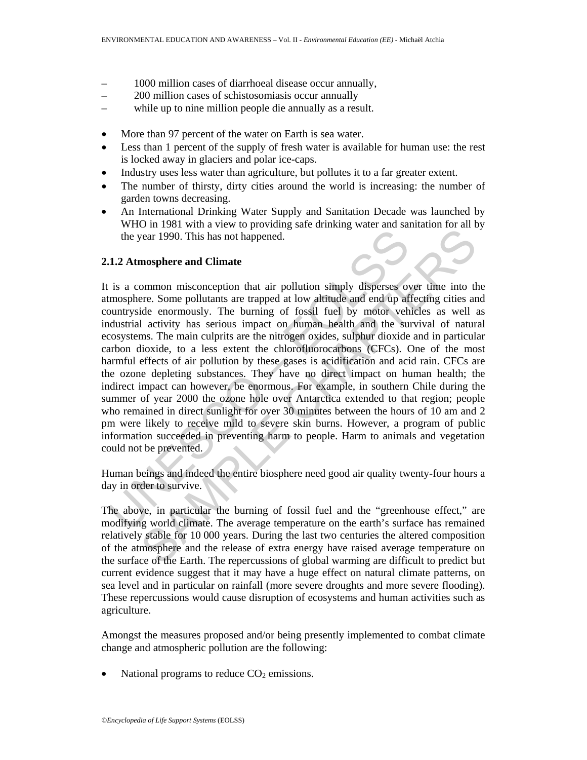- 1000 million cases of diarrhoeal disease occur annually,
- 200 million cases of schistosomiasis occur annually
- while up to nine million people die annually as a result.
- More than 97 percent of the water on Earth is sea water.
- Less than 1 percent of the supply of fresh water is available for human use: the rest is locked away in glaciers and polar ice-caps.
- Industry uses less water than agriculture, but pollutes it to a far greater extent.
- The number of thirsty, dirty cities around the world is increasing: the number of garden towns decreasing.
- An International Drinking Water Supply and Sanitation Decade was launched by WHO in 1981 with a view to providing safe drinking water and sanitation for all by the year 1990. This has not happened.

### **2.1.2 Atmosphere and Climate**

the year 1990. This has not happened.<br>
1.2 Atmosphere and Climate<br>
is a common misconception that air pollution simply disperses or<br>
mosphere. Some pollutants are trapped at low altitude and end up af<br>
buturyside enormousl or 1990. This has not happened.<br>
Cear 1990. This has not happened.<br>
mosphere and Climate<br>
meters. Some pollutions are trapped at low altriduce and up affecting cities ame<br>
the enomously. The burning of fossil fuel by motor It is a common misconception that air pollution simply disperses over time into the atmosphere. Some pollutants are trapped at low altitude and end up affecting cities and countryside enormously. The burning of fossil fuel by motor vehicles as well as industrial activity has serious impact on human health and the survival of natural ecosystems. The main culprits are the nitrogen oxides, sulphur dioxide and in particular carbon dioxide, to a less extent the chlorofluorocarbons (CFCs). One of the most harmful effects of air pollution by these gases is acidification and acid rain. CFCs are the ozone depleting substances. They have no direct impact on human health; the indirect impact can however, be enormous. For example, in southern Chile during the summer of year 2000 the ozone hole over Antarctica extended to that region; people who remained in direct sunlight for over 30 minutes between the hours of 10 am and 2 pm were likely to receive mild to severe skin burns. However, a program of public information succeeded in preventing harm to people. Harm to animals and vegetation could not be prevented.

Human beings and indeed the entire biosphere need good air quality twenty-four hours a day in order to survive.

The above, in particular the burning of fossil fuel and the "greenhouse effect," are modifying world climate. The average temperature on the earth's surface has remained relatively stable for 10 000 years. During the last two centuries the altered composition of the atmosphere and the release of extra energy have raised average temperature on the surface of the Earth. The repercussions of global warming are difficult to predict but current evidence suggest that it may have a huge effect on natural climate patterns, on sea level and in particular on rainfall (more severe droughts and more severe flooding). These repercussions would cause disruption of ecosystems and human activities such as agriculture.

Amongst the measures proposed and/or being presently implemented to combat climate change and atmospheric pollution are the following:

National programs to reduce  $CO<sub>2</sub>$  emissions.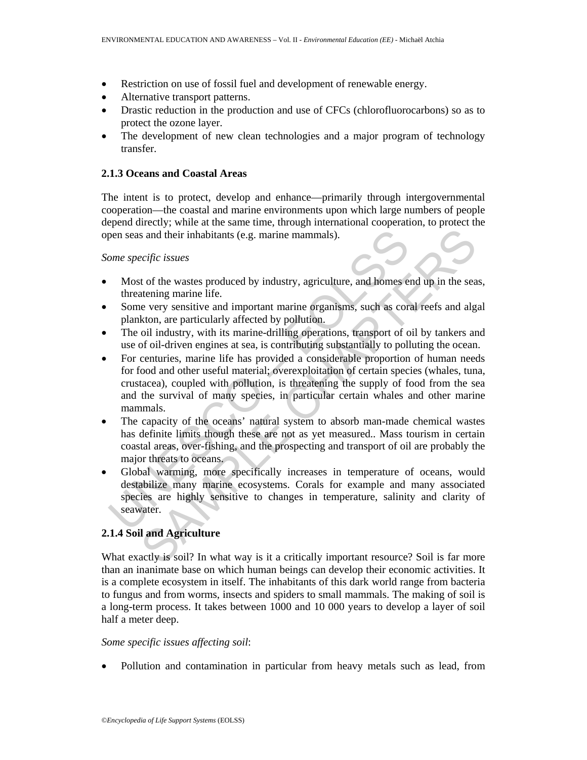- Restriction on use of fossil fuel and development of renewable energy.
- Alternative transport patterns.
- Drastic reduction in the production and use of CFCs (chlorofluorocarbons) so as to protect the ozone layer.
- The development of new clean technologies and a major program of technology transfer.

#### **2.1.3 Oceans and Coastal Areas**

The intent is to protect, develop and enhance—primarily through intergovernmental cooperation—the coastal and marine environments upon which large numbers of people depend directly; while at the same time, through international cooperation, to protect the open seas and their inhabitants (e.g. marine mammals).

#### *Some specific issues*

- Most of the wastes produced by industry, agriculture, and homes end up in the seas, threatening marine life.
- Some very sensitive and important marine organisms, such as coral reefs and algal plankton, are particularly affected by pollution.
- The oil industry, with its marine-drilling operations, transport of oil by tankers and use of oil-driven engines at sea, is contributing substantially to polluting the ocean.
- pen seas and their inhabitants (e.g. marine mammals).<br>
ome specific issues<br>
Most of the wastes produced by industry, agriculture, and homes e<br>
threatening marine life.<br>
Some very sensitive and important marine organisms, s sand their inhabitants (e.g. marine mammals).<br>
ecific issues<br>
to f the wastes produced by industry, agriculture, and homes end up in the sea<br>
atening marine life.<br>
every sensitive and important marine organisms, such as co • For centuries, marine life has provided a considerable proportion of human needs for food and other useful material; overexploitation of certain species (whales, tuna, crustacea), coupled with pollution, is threatening the supply of food from the sea and the survival of many species, in particular certain whales and other marine mammals.
- The capacity of the oceans' natural system to absorb man-made chemical wastes has definite limits though these are not as yet measured.. Mass tourism in certain coastal areas, over-fishing, and the prospecting and transport of oil are probably the major threats to oceans.
- Global warming, more specifically increases in temperature of oceans, would destabilize many marine ecosystems. Corals for example and many associated species are highly sensitive to changes in temperature, salinity and clarity of seawater.

## **2.1.4 Soil and Agriculture**

What exactly is soil? In what way is it a critically important resource? Soil is far more than an inanimate base on which human beings can develop their economic activities. It is a complete ecosystem in itself. The inhabitants of this dark world range from bacteria to fungus and from worms, insects and spiders to small mammals. The making of soil is a long-term process. It takes between 1000 and 10 000 years to develop a layer of soil half a meter deep.

#### *Some specific issues affecting soil*:

• Pollution and contamination in particular from heavy metals such as lead, from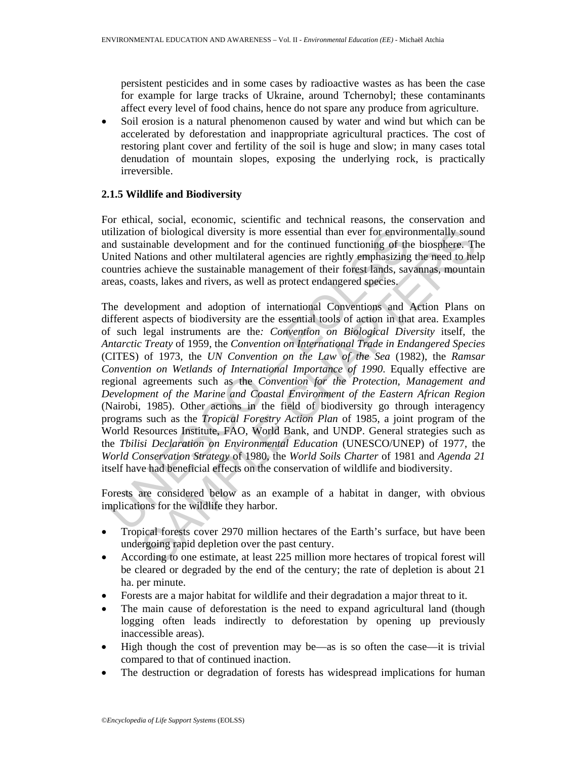persistent pesticides and in some cases by radioactive wastes as has been the case for example for large tracks of Ukraine, around Tchernobyl; these contaminants affect every level of food chains, hence do not spare any produce from agriculture.

• Soil erosion is a natural phenomenon caused by water and wind but which can be accelerated by deforestation and inappropriate agricultural practices. The cost of restoring plant cover and fertility of the soil is huge and slow; in many cases total denudation of mountain slopes, exposing the underlying rock, is practically irreversible.

## **2.1.5 Wildlife and Biodiversity**

For ethical, social, economic, scientific and technical reasons, the conservation and utilization of biological diversity is more essential than ever for environmentally sound and sustainable development and for the continued functioning of the biosphere. The United Nations and other multilateral agencies are rightly emphasizing the need to help countries achieve the sustainable management of their forest lands, savannas, mountain areas, coasts, lakes and rivers, as well as protect endangered species.

tilization of biological diversity is more essential than ever for environd<br>midd sustainable development and for the continued functioning of the<br>minited Nations and other multilateral agencies are rightly emphasizing<br>punt not biological diversity is more essential than ever for environmentally soum<br>ainable development and for the continued functioning of the biosphere. The<br>aintions and other multilateral agencies are rightly emphasizing the The development and adoption of international Conventions and Action Plans on different aspects of biodiversity are the essential tools of action in that area. Examples of such legal instruments are the*: Convention on Biological Diversity* itself, the *Antarctic Treaty* of 1959, the *Convention on International Trade in Endangered Species* (CITES) of 1973, the *UN Convention on the Law of the Sea* (1982), the *Ramsar Convention on Wetlands of International Importance of 1990*. Equally effective are regional agreements such as the *Convention for the Protection, Management and Development of the Marine and Coastal Environment of the Eastern African Region*  (Nairobi, 1985). Other actions in the field of biodiversity go through interagency programs such as the *Tropical Forestry Action Plan* of 1985, a joint program of the World Resources Institute, FAO, World Bank, and UNDP. General strategies such as the *Tbilisi Declaration on Environmental Education* (UNESCO/UNEP) of 1977, the *World Conservation Strategy* of 1980, the *World Soils Charter* of 1981 and *Agenda 21* itself have had beneficial effects on the conservation of wildlife and biodiversity.

Forests are considered below as an example of a habitat in danger, with obvious implications for the wildlife they harbor.

- Tropical forests cover 2970 million hectares of the Earth's surface, but have been undergoing rapid depletion over the past century.
- According to one estimate, at least 225 million more hectares of tropical forest will be cleared or degraded by the end of the century; the rate of depletion is about 21 ha. per minute.
- Forests are a major habitat for wildlife and their degradation a major threat to it.
- The main cause of deforestation is the need to expand agricultural land (though logging often leads indirectly to deforestation by opening up previously inaccessible areas).
- High though the cost of prevention may be—as is so often the case—it is trivial compared to that of continued inaction.
- The destruction or degradation of forests has widespread implications for human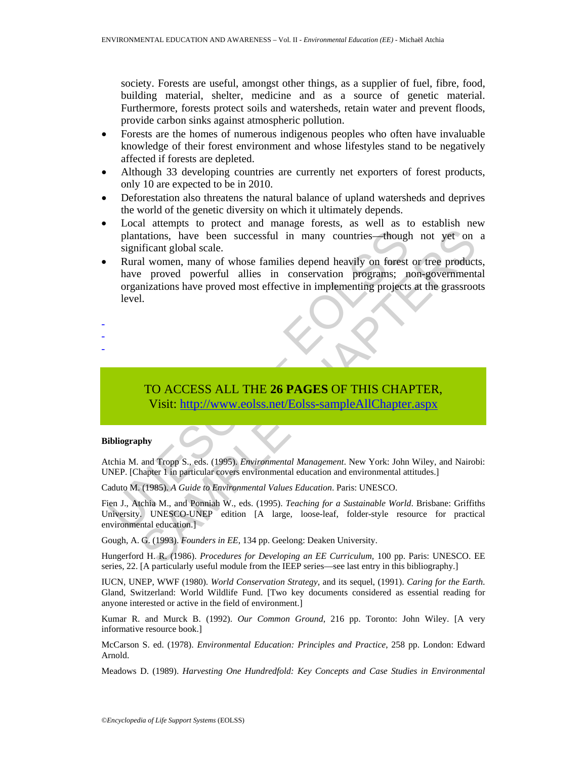society. Forests are useful, amongst other things, as a supplier of fuel, fibre, food, building material, shelter, medicine and as a source of genetic material. Furthermore, forests protect soils and watersheds, retain water and prevent floods, provide carbon sinks against atmospheric pollution.

- Forests are the homes of numerous indigenous peoples who often have invaluable knowledge of their forest environment and whose lifestyles stand to be negatively affected if forests are depleted.
- Although 33 developing countries are currently net exporters of forest products, only 10 are expected to be in 2010.
- Deforestation also threatens the natural balance of upland watersheds and deprives the world of the genetic diversity on which it ultimately depends.
- Local attempts to protect and manage forests, as well as to establish new plantations, have been successful in many countries—though not yet on a significant global scale.
- plantations, have been successful in many countries—though<br>
significant global scale.<br>
Rural women, many of whose families depend heavily on forest<br>
have proved powerful allies in conservation programs;<br>
organizations have Transformations, have been successful in many countries—though not yet on<br>tificant global scale.<br>
It women, many of whose families depend heavily on forest or tree product<br>
2 proved powerful allies in conservation programs • Rural women, many of whose families depend heavily on forest or tree products, have proved powerful allies in conservation programs; non-governmental organizations have proved most effective in implementing projects at the grassroots level.
- -
- -
- -

# TO ACCESS ALL THE **26 PAGES** OF THIS CHAPTER, Visit: http://www.eolss.net/Eolss-sampleAllChapter.aspx

#### **Bibliography**

Atchia M. and Tropp S., eds. (1995). *Environmental Management*. New York: John Wiley, and Nairobi: UNEP. [Chapter 1 in particular covers environmental education and environmental attitudes.]

Caduto M. (1985). *A Guide to Environmental Values Education*. Paris: UNESCO.

Fien J., Atchia M., and Ponniah W., eds. (1995). *Teaching for a Sustainable World*. Brisbane: Griffiths University. UNESCO-UNEP edition [A large, loose-leaf, folder-style resource for practical environmental education.]

Gough, A. G. (1993). *Founders in EE*, 134 pp. Geelong: Deaken University.

Hungerford H. R. (1986). *Procedures for Developing an EE Curriculum,* 100 pp. Paris: UNESCO. EE series, 22. [A particularly useful module from the IEEP series—see last entry in this bibliography.]

IUCN, UNEP, WWF (1980). *World Conservation Strategy,* and its sequel, (1991). *Caring for the Earth*. Gland, Switzerland: World Wildlife Fund. [Two key documents considered as essential reading for anyone interested or active in the field of environment.]

Kumar R. and Murck B. (1992). *Our Common Ground*, 216 pp. Toronto: John Wiley. [A very informative resource book.]

McCarson S. ed. (1978). *Environmental Education: Principles and Practice*, 258 pp. London: Edward Arnold.

Meadows D. (1989). *Harvesting One Hundredfold: Key Concepts and Case Studies in Environmental*